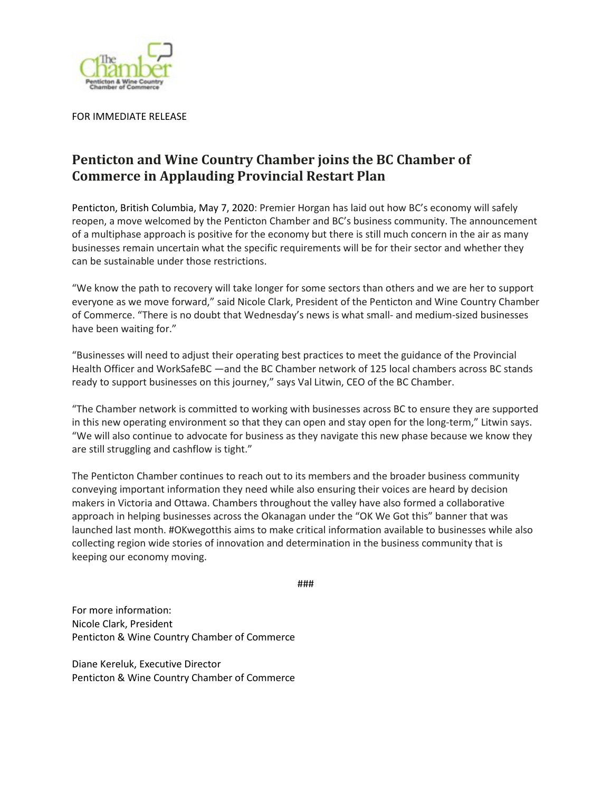

FOR IMMEDIATE RELEASE

## **Penticton and Wine Country Chamber joins the BC Chamber of Commerce in Applauding Provincial Restart Plan**

Penticton, British Columbia, May 7, 2020: Premier Horgan has laid out how BC's economy will safely reopen, a move welcomed by the Penticton Chamber and BC's business community. The announcement of a multiphase approach is positive for the economy but there is still much concern in the air as many businesses remain uncertain what the specific requirements will be for their sector and whether they can be sustainable under those restrictions.

"We know the path to recovery will take longer for some sectors than others and we are her to support everyone as we move forward," said Nicole Clark, President of the Penticton and Wine Country Chamber of Commerce. "There is no doubt that Wednesday's news is what small- and medium-sized businesses have been waiting for."

"Businesses will need to adjust their operating best practices to meet the guidance of the Provincial Health Officer and WorkSafeBC —and the BC Chamber network of 125 local chambers across BC stands ready to support businesses on this journey," says Val Litwin, CEO of the BC Chamber.

"The Chamber network is committed to working with businesses across BC to ensure they are supported in this new operating environment so that they can open and stay open for the long-term," Litwin says. "We will also continue to advocate for business as they navigate this new phase because we know they are still struggling and cashflow is tight."

The Penticton Chamber continues to reach out to its members and the broader business community conveying important information they need while also ensuring their voices are heard by decision makers in Victoria and Ottawa. Chambers throughout the valley have also formed a collaborative approach in helping businesses across the Okanagan under the "OK We Got this" banner that was launched last month. #OKwegotthis aims to make critical information available to businesses while also collecting region wide stories of innovation and determination in the business community that is keeping our economy moving.

```
###
```
For more information: Nicole Clark, President Penticton & Wine Country Chamber of Commerce

Diane Kereluk, Executive Director Penticton & Wine Country Chamber of Commerce